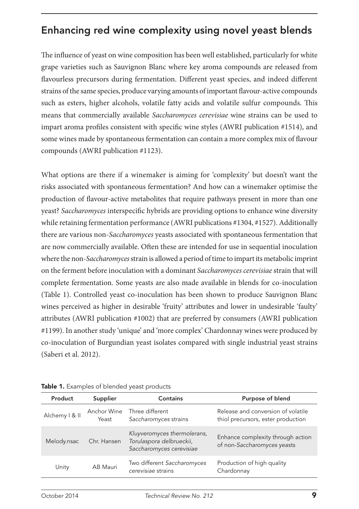# Enhancing red wine complexity using novel yeast blends

The influence of yeast on wine composition has been well established, particularly for white grape varieties such as Sauvignon Blanc where key aroma compounds are released from flavourless precursors during fermentation. Different yeast species, and indeed different strains of the same species, produce varying amounts of important flavour-active compounds such as esters, higher alcohols, volatile fatty acids and volatile sulfur compounds. This means that commercially available *Saccharomyces cerevisiae* wine strains can be used to impart aroma profiles consistent with specific wine styles (AWRI publication #1514), and some wines made by spontaneous fermentation can contain a more complex mix of flavour compounds (AWRI publication #1123).

What options are there if a winemaker is aiming for 'complexity' but doesn't want the risks associated with spontaneous fermentation? And how can a winemaker optimise the production of flavour-active metabolites that require pathways present in more than one yeast? *Saccharomyces* interspecific hybrids are providing options to enhance wine diversity while retaining fermentation performance (AWRI publications #1304, #1527). Additionally there are various non-*Saccharomyces* yeasts associated with spontaneous fermentation that are now commercially available. Often these are intended for use in sequential inoculation where the non-*Saccharomyces* strain is allowed a period of time to impart its metabolic imprint on the ferment before inoculation with a dominant *Saccharomyces cerevisiae* strain that will complete fermentation. Some yeasts are also made available in blends for co-inoculation (Table 1). Controlled yeast co-inoculation has been shown to produce Sauvignon Blanc wines perceived as higher in desirable 'fruity' attributes and lower in undesirable 'faulty' attributes (AWRI publication #1002) that are preferred by consumers (AWRI publication #1199). In another study 'unique' and 'more complex' Chardonnay wines were produced by co-inoculation of Burgundian yeast isolates compared with single industrial yeast strains (Saberi et al. 2012).

| Product        | Supplier             | Contains                                                                            | Purpose of blend                                                         |
|----------------|----------------------|-------------------------------------------------------------------------------------|--------------------------------------------------------------------------|
| Alchemy   & II | Anchor Wine<br>Yeast | Three different<br>Saccharomyces strains                                            | Release and conversion of volatile<br>thiol precursors, ester production |
| Melody.nsac    | Chr. Hansen          | Kluyveromyces thermolerans,<br>Torulaspora delbrueckii,<br>Saccharomyces cerevisiae | Enhance complexity through action<br>of non-Saccharomyces yeasts         |
| Unity          | AB Mauri             | Two different Saccharomyces<br>cerevisiae strains                                   | Production of high quality<br>Chardonnay                                 |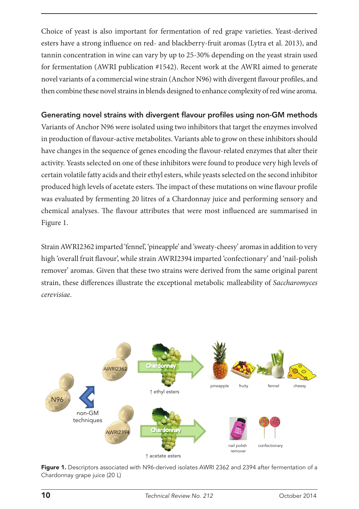Choice of yeast is also important for fermentation of red grape varieties. Yeast-derived esters have a strong influence on red- and blackberry-fruit aromas (Lytra et al. 2013), and tannin concentration in wine can vary by up to 25-30% depending on the yeast strain used for fermentation (AWRI publication #1542). Recent work at the AWRI aimed to generate novel variants of a commercial wine strain (Anchor N96) with divergent flavour profiles, and then combine these novel strains in blends designed to enhance complexity of red wine aroma.

#### Generating novel strains with divergent flavour profiles using non-GM methods

Variants of Anchor N96 were isolated using two inhibitors that target the enzymes involved in production of flavour-active metabolites. Variants able to grow on these inhibitors should have changes in the sequence of genes encoding the flavour-related enzymes that alter their activity. Yeasts selected on one of these inhibitors were found to produce very high levels of certain volatile fatty acids and their ethyl esters, while yeasts selected on the second inhibitor produced high levels of acetate esters. The impact of these mutations on wine flavour profile was evaluated by fermenting 20 litres of a Chardonnay juice and performing sensory and chemical analyses. The flavour attributes that were most influenced are summarised in Figure 1.

Strain AWRI2362 imparted 'fennel', 'pineapple' and 'sweaty-cheesy' aromas in addition to very high 'overall fruit flavour', while strain AWRI2394 imparted 'confectionary' and 'nail-polish remover' aromas. Given that these two strains were derived from the same original parent strain, these differences illustrate the exceptional metabolic malleability of *Saccharomyces cerevisiae*.



Figure 1. Descriptors associated with N96-derived isolates AWRI 2362 and 2394 after fermentation of a Chardonnay grape juice (20 L)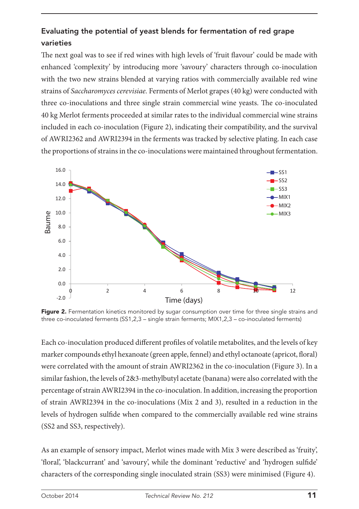# Evaluating the potential of yeast blends for fermentation of red grape varieties

The next goal was to see if red wines with high levels of 'fruit flavour' could be made with enhanced 'complexity' by introducing more 'savoury' characters through co-inoculation with the two new strains blended at varying ratios with commercially available red wine strains of *Saccharomyces cerevisiae.* Ferments of Merlot grapes (40 kg) were conducted with three co-inoculations and three single strain commercial wine yeasts. The co-inoculated 40 kg Merlot ferments proceeded at similar rates to the individual commercial wine strains included in each co-inoculation (Figure 2), indicating their compatibility, and the survival of AWRI2362 and AWRI2394 in the ferments was tracked by selective plating. In each case the proportions of strains in the co-inoculations were maintained throughout fermentation.



Figure 2. Fermentation kinetics monitored by sugar consumption over time for three single strains and three co-inoculated ferments (SS1,2,3 – single strain ferments; MIX1,2,3 – co-inoculated ferments)

levels of hydrogen sulfide when compared to the commercially available red wine strains (SS2 and SS3, respectively). Each co-inoculation produced different profiles of volatile metabolites, and the levels of key marker compounds ethyl hexanoate (green apple, fennel) and ethyl octanoate (apricot, floral) were correlated with the amount of strain AWRI2362 in the co-inoculation (Figure 3). In a similar fashion, the levels of 2&3-methylbutyl acetate (banana) were also correlated with the percentage of strain AWRI2394 in the co-inoculation. In addition, increasing the proportion of strain AWRI2394 in the co-inoculations (Mix 2 and 3), resulted in a reduction in the

As an example of sensory impact, wienot whites made with wix 5 were described as "fruity,"<br>'floral', 'blackcurrant' and 'savoury', while the dominant 'reductive' and 'hydrogen sulfide' As an example of sensory impact, Merlot wines made with Mix 3 were described as 'fruity', characters of the corresponding single inoculated strain (SS3) were minimised (Figure 4). Aromatica<br> **Araomatica**<br>
Aromatica

4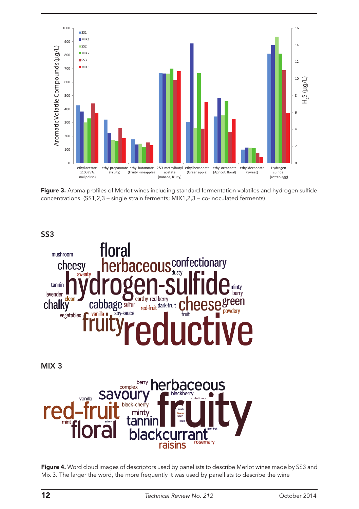

Figure 3. Aroma profiles of Merlot wines including standard fermentation volatiles and hydrogen sulfide concentrations (SS1,2,3 – single strain ferments; MIX1,2,3 – co-inoculated ferments)



Figure 4. Word cloud images of descriptors used by panellists to describe Merlot wines made by SS3 and Mix 3. The larger the word, the more frequently it was used by panellists to describe the wine